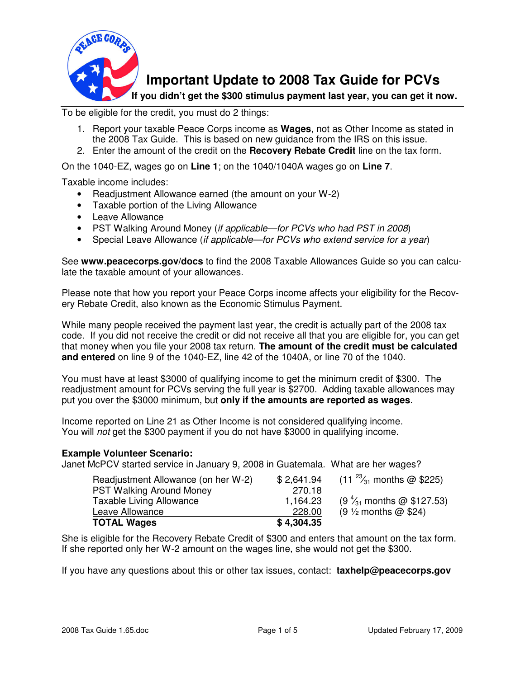

**Important Update to 2008 Tax Guide for PCVs** 

 **If you didn't get the \$300 stimulus payment last year, you can get it now.** 

To be eligible for the credit, you must do 2 things:

- 1. Report your taxable Peace Corps income as **Wages**, not as Other Income as stated in the 2008 Tax Guide. This is based on new guidance from the IRS on this issue.
- 2. Enter the amount of the credit on the **Recovery Rebate Credit** line on the tax form.

On the 1040-EZ, wages go on **Line 1**; on the 1040/1040A wages go on **Line 7**.

Taxable income includes:

- Readjustment Allowance earned (the amount on your W-2)
- Taxable portion of the Living Allowance
- Leave Allowance
- PST Walking Around Money (if applicable-for PCVs who had PST in 2008)
- Special Leave Allowance (if applicable—for PCVs who extend service for a year)

See **www.peacecorps.gov/docs** to find the 2008 Taxable Allowances Guide so you can calculate the taxable amount of your allowances.

Please note that how you report your Peace Corps income affects your eligibility for the Recovery Rebate Credit, also known as the Economic Stimulus Payment.

While many people received the payment last year, the credit is actually part of the 2008 tax code. If you did not receive the credit or did not receive all that you are eligible for, you can get that money when you file your 2008 tax return. **The amount of the credit must be calculated and entered** on line 9 of the 1040-EZ, line 42 of the 1040A, or line 70 of the 1040.

You must have at least \$3000 of qualifying income to get the minimum credit of \$300. The readjustment amount for PCVs serving the full year is \$2700. Adding taxable allowances may put you over the \$3000 minimum, but **only if the amounts are reported as wages**.

Income reported on Line 21 as Other Income is not considered qualifying income. You will not get the \$300 payment if you do not have \$3000 in qualifying income.

#### **Example Volunteer Scenario:**

Janet McPCV started service in January 9, 2008 in Guatemala. What are her wages?

| Readjustment Allowance (on her W-2) | \$2,641.94 | $(11^{23}/_{31})$ months @ \$225)   |
|-------------------------------------|------------|-------------------------------------|
| <b>PST Walking Around Money</b>     | 270.18     |                                     |
| <b>Taxable Living Allowance</b>     | 1,164.23   | $(9\frac{4}{31}$ months @ \$127.53) |
| Leave Allowance                     | 228.00     | $(9 \frac{1}{2}$ months @ \$24)     |
| <b>TOTAL Wages</b>                  | \$4,304.35 |                                     |

She is eligible for the Recovery Rebate Credit of \$300 and enters that amount on the tax form. If she reported only her W-2 amount on the wages line, she would not get the \$300.

If you have any questions about this or other tax issues, contact: **taxhelp@peacecorps.gov**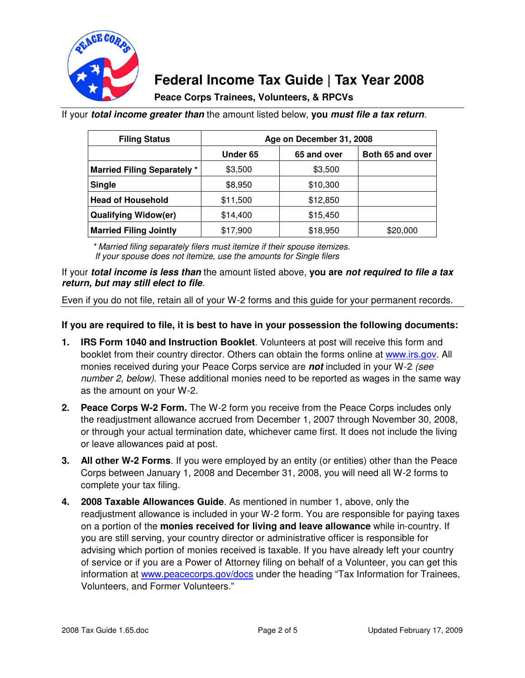

# **Federal Income Tax Guide | Tax Year 2008**

**Peace Corps Trainees, Volunteers, & RPCVs** 

If your **total income greater than** the amount listed below, **you must file a tax return**.

| <b>Filing Status</b>              | Age on December 31, 2008 |             |                  |
|-----------------------------------|--------------------------|-------------|------------------|
|                                   | Under 65                 | 65 and over | Both 65 and over |
| <b>Married Filing Separately*</b> | \$3,500                  | \$3,500     |                  |
| <b>Single</b>                     | \$8,950                  | \$10,300    |                  |
| <b>Head of Household</b>          | \$11,500                 | \$12,850    |                  |
| <b>Qualifying Widow(er)</b>       | \$14,400                 | \$15,450    |                  |
| <b>Married Filing Jointly</b>     | \$17,900                 | \$18,950    | \$20,000         |

\* Married filing separately filers must itemize if their spouse itemizes. If your spouse does not itemize, use the amounts for Single filers

If your **total income is less than** the amount listed above, **you are not required to file a tax return, but may still elect to file**.

Even if you do not file, retain all of your W-2 forms and this guide for your permanent records.

## **If you are required to file, it is best to have in your possession the following documents:**

- **1. IRS Form 1040 and Instruction Booklet**. Volunteers at post will receive this form and booklet from their country director. Others can obtain the forms online at www.irs.gov. All monies received during your Peace Corps service are **not** included in your W-2 (see number 2, below). These additional monies need to be reported as wages in the same way as the amount on your W-2.
- **2. Peace Corps W-2 Form.** The W-2 form you receive from the Peace Corps includes only the readjustment allowance accrued from December 1, 2007 through November 30, 2008, or through your actual termination date, whichever came first. It does not include the living or leave allowances paid at post.
- **3. All other W-2 Forms**. If you were employed by an entity (or entities) other than the Peace Corps between January 1, 2008 and December 31, 2008, you will need all W-2 forms to complete your tax filing.
- **4. 2008 Taxable Allowances Guide**. As mentioned in number 1, above, only the readjustment allowance is included in your W-2 form. You are responsible for paying taxes on a portion of the **monies received for living and leave allowance** while in-country. If you are still serving, your country director or administrative officer is responsible for advising which portion of monies received is taxable. If you have already left your country of service or if you are a Power of Attorney filing on behalf of a Volunteer, you can get this information at www.peacecorps.gov/docs under the heading "Tax Information for Trainees, Volunteers, and Former Volunteers."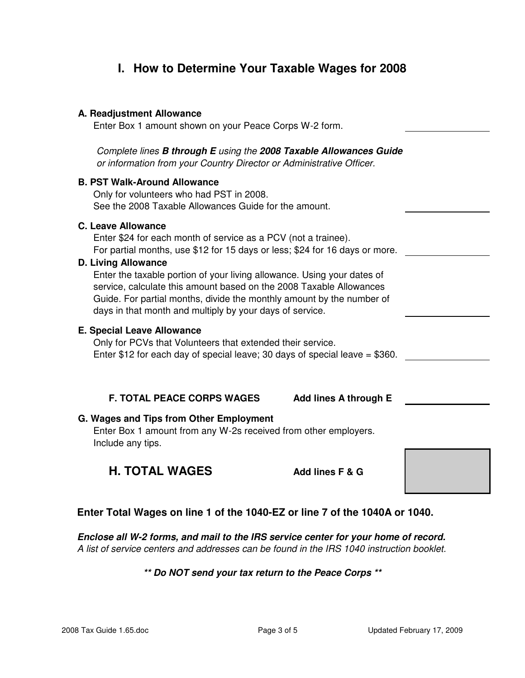# **I. How to Determine Your Taxable Wages for 2008**

#### **A. Readjustment Allowance**

Enter Box 1 amount shown on your Peace Corps W-2 form.

Complete lines **B through E** using the **2008 Taxable Allowances Guide**  or information from your Country Director or Administrative Officer.

#### **B. PST Walk-Around Allowance**

Only for volunteers who had PST in 2008. See the 2008 Taxable Allowances Guide for the amount.

## **C. Leave Allowance**

Enter \$24 for each month of service as a PCV (not a trainee). For partial months, use \$12 for 15 days or less; \$24 for 16 days or more.

#### **D. Living Allowance**

Enter the taxable portion of your living allowance. Using your dates of service, calculate this amount based on the 2008 Taxable Allowances Guide. For partial months, divide the monthly amount by the number of days in that month and multiply by your days of service.

#### **E. Special Leave Allowance**

Only for PCVs that Volunteers that extended their service. Enter \$12 for each day of special leave; 30 days of special leave = \$360.

## **F. TOTAL PEACE CORPS WAGES Add lines A through E**

## **G. Wages and Tips from Other Employment**

Enter Box 1 amount from any W-2s received from other employers. Include any tips.

## **H. TOTAL WAGES** Add lines F & G

## **Enter Total Wages on line 1 of the 1040-EZ or line 7 of the 1040A or 1040.**

**Enclose all W-2 forms, and mail to the IRS service center for your home of record.**  A list of service centers and addresses can be found in the IRS 1040 instruction booklet.

## **\*\* Do NOT send your tax return to the Peace Corps \*\***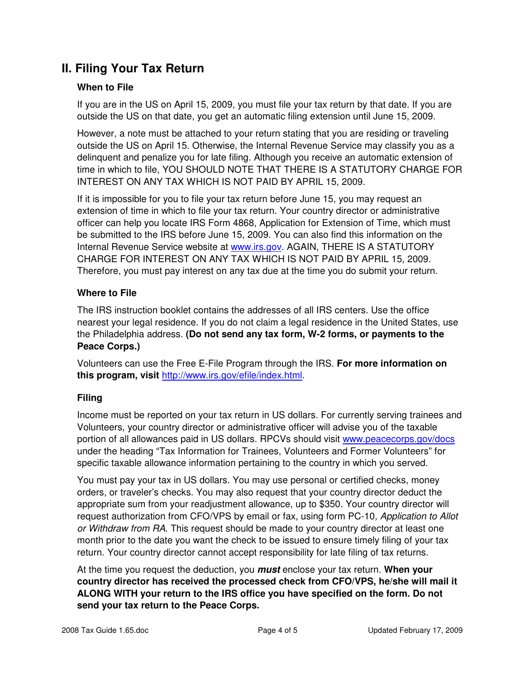# **II. Filing Your Tax Return**

## **When to File**

If you are in the US on April 15, 2009, you must file your tax return by that date. If you are outside the US on that date, you get an automatic filing extension until June 15, 2009.

However, a note must be attached to your return stating that you are residing or traveling outside the US on April 15. Otherwise, the Internal Revenue Service may classify you as a delinquent and penalize you for late filing. Although you receive an automatic extension of time in which to file, YOU SHOULD NOTE THAT THERE IS A STATUTORY CHARGE FOR INTEREST ON ANY TAX WHICH IS NOT PAID BY APRIL 15, 2009.

If it is impossible for you to file your tax return before June 15, you may request an extension of time in which to file your tax return. Your country director or administrative officer can help you locate IRS Form 4868, Application for Extension of Time, which must be submitted to the IRS before June 15, 2009. You can also find this information on the Internal Revenue Service website at www.irs.gov. AGAIN, THERE IS A STATUTORY CHARGE FOR INTEREST ON ANY TAX WHICH IS NOT PAID BY APRIL 15, 2009. Therefore, you must pay interest on any tax due at the time you do submit your return.

## **Where to File**

The IRS instruction booklet contains the addresses of all IRS centers. Use the office nearest your legal residence. If you do not claim a legal residence in the United States, use the Philadelphia address. **(Do not send any tax form, W-2 forms, or payments to the Peace Corps.)** 

Volunteers can use the Free E-File Program through the IRS. **For more information on this program, visit** http://www.irs.gov/efile/index.html.

## **Filing**

Income must be reported on your tax return in US dollars. For currently serving trainees and Volunteers, your country director or administrative officer will advise you of the taxable portion of all allowances paid in US dollars. RPCVs should visit www.peacecorps.gov/docs under the heading "Tax Information for Trainees, Volunteers and Former Volunteers" for specific taxable allowance information pertaining to the country in which you served.

You must pay your tax in US dollars. You may use personal or certified checks, money orders, or traveler's checks. You may also request that your country director deduct the appropriate sum from your readjustment allowance, up to \$350. Your country director will request authorization from CFO/VPS by email or fax, using form PC-10, Application to Allot or Withdraw from RA. This request should be made to your country director at least one month prior to the date you want the check to be issued to ensure timely filing of your tax return. Your country director cannot accept responsibility for late filing of tax returns.

At the time you request the deduction, you **must** enclose your tax return. **When your country director has received the processed check from CFO/VPS, he/she will mail it ALONG WITH your return to the IRS office you have specified on the form. Do not send your tax return to the Peace Corps.**